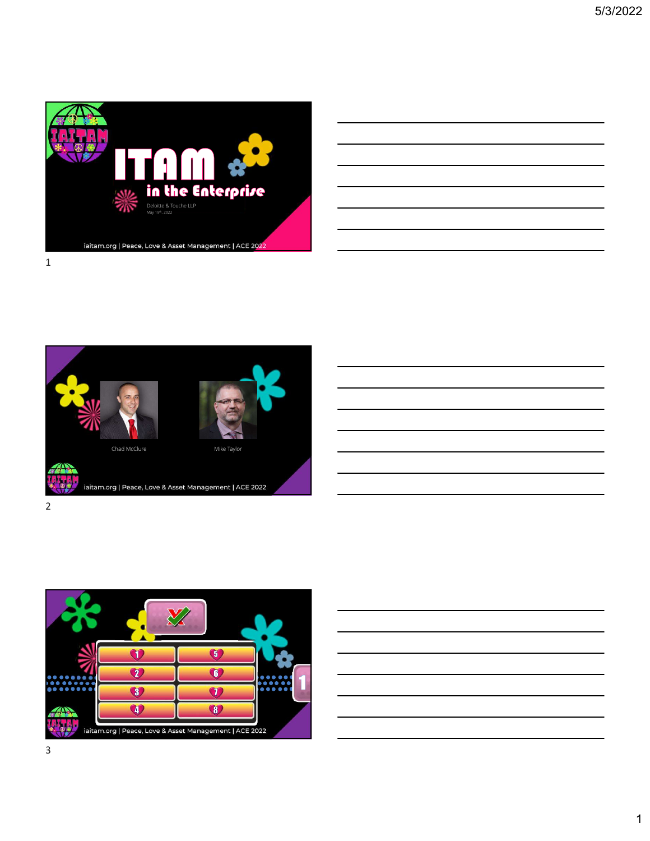



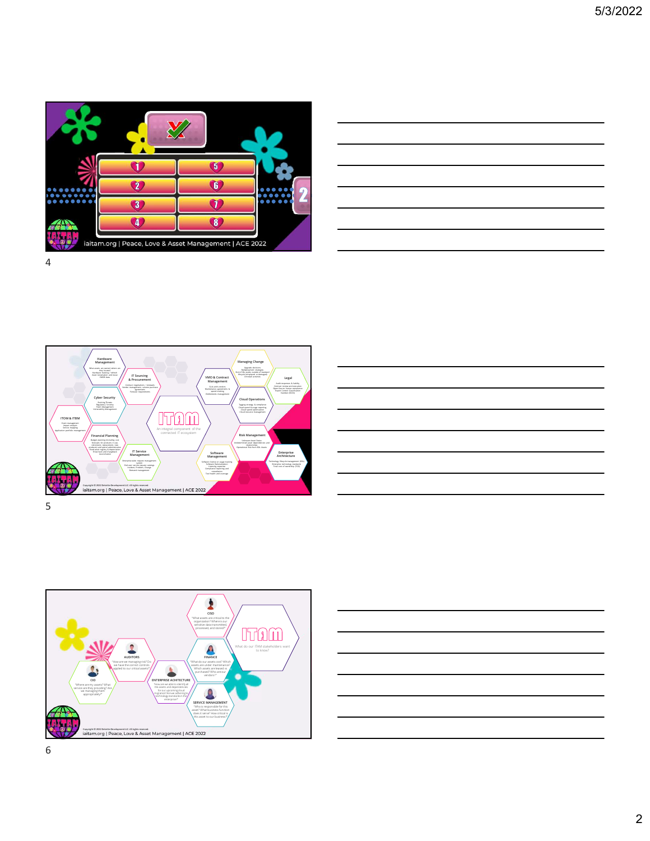

| $\boldsymbol{\Omega}$ |  |
|-----------------------|--|
| 022                   |  |

 $\textit{a. For a 44444 is a 44444.} \textit{a. For a 444444 is a 44444.} \textit{b. For a 444444 is a 44444.} \textit{b. For a 444444 is a 44444.} \textit{b. For a 444444 is a 44444.} \textit{c. For a 444444 is a 44444.} \textit{d. For a 444444 is a 44444.} \textit{d. For a 444444 is a 44444.} \textit{d. For a 444444 is a 444$  $\text{Lipull}$  respectively. The meaning of the second control Classifications agreements agreements agreement of the second control Classification  $\text{Lipull}$  (Sport Control Classification agreements agreements agreements of th Forecast requirements Managing Change Upgrade decisions Redeployment strategies End of life, assets outside of standard lifecycle (misplaced or damaged) / / Anti-Software \\ Enterprise Theory and the Context of Software Theory of the Software Theory and the Software Theory and the Software Theory and the Software Theory and the Software Theory and the Software Theory and the Softwa Management \ **Architecture** Software license or usage tracking **The computer of the controllers** interview management (scit.) The controllers of the controllers of the controllers of the controllers of the controllers of the controllers of the contro Licensing expertise and the content of the state cost of ownership (10,0) and the cost of ownership (10,0) and the cost of ownership (10,0) and the cost of ownership (10,0) and the cost of ownership (10,0) and the cost of Tool health and coverage and coverage and coverage and coverage and coverage and coverage and coverage and coverage and coverage and coverage and coverage and coverage and coverage and coverage and coverage and coverage an Financial Planning New York (1999) 2008 (1999) 2008 2014 2014 2015 2016 2017 2018 2019 2019 2019 2019 2019 201 Budge planning (including cost forecasts forecasts forecasts forecasts forecasts forecasts forecasts forecasts for<br>moderning cost forecasts for products in use, retirement, and spend administration of the control of the co Fixed asset registry & depreciation  $f$  /  $\qquad \qquad \qquad \qquad$  /  $\qquad \qquad$  /  $\qquad \qquad$  /  $\qquad \qquad$  /  $\qquad \qquad$  /  $\qquad \qquad$  /  $\qquad \qquad$  /  $\qquad \qquad$  /  $\qquad \qquad$  /  $\qquad \qquad$  /  $\qquad \qquad$  /  $\qquad \qquad$  /  $\qquad \qquad$  /  $\qquad \qquad$  /  $\qquad \qquad$  /  $\qquad \qquad$ Show back and chargeback reconciliation and the service of the service of the service of the service of the service of the service of the service of the service of the service of the service of the service of the service o Enterprise Architecture Total cost of ownership (TCO) VMO & Contract Management SLAS with vendors managements and the contract Managements managements managements managements managements managements managements managements managements managements IT Service Management Enterprise-wide request management (A) and the control of the system of the controllegy integrity of the controllegy integrity of the controllegy integrity of the controllegy integrity of the controllegy integrity of the c End user service request catalogs<br>Incident, Problem, Change (ECD) Demand management Cyber Security Evolving Threats Regulatory Scrutiny Patch Management Vulnerability Management Risk Management Unknown Asset Status Undetermined asset dependencies and relationships Operational Risk from EOL Assets Cloud Operations Tagging strategy & compliance Cloud spend & usage reporting Cloud spend optimization Cloud resource management Hardware Management What assets are owned, where are they located Hardware tracking / refresh Asset reclamation and reuse CMDB data Legal Audit responses & liability Contract review and execution Open-Source license compliance ITOM & ITBM Event management Impact analysis Service mapping  $\mathcal{M}_{\text{optimal}}$  and  $\mathcal{M}_{\text{optimal}}$  and  $\mathcal{M}_{\text{optimal}}$  connected IT ecosystem  $\mathcal{M}_{\text{optimal}}$  and  $\mathcal{M}_{\text{optimal}}$  and  $\mathcal{M}_{\text{optimal}}$  and  $\mathcal{M}_{\text{optimal}}$  and  $\mathcal{M}_{\text{optimal}}$  and  $\mathcal{M}_{\text{optimal}}$  and  $\mathcal{M}_{\text{optimal}}$  and  $\mathcal{M}_{\text{optimal$ Copyright © 2022 Deloitte Development LLC. All rights reserved.<br>
iaitam.org | Peace, Love & Asset Management | ACE 2022

 $5<sub>5</sub>$ 





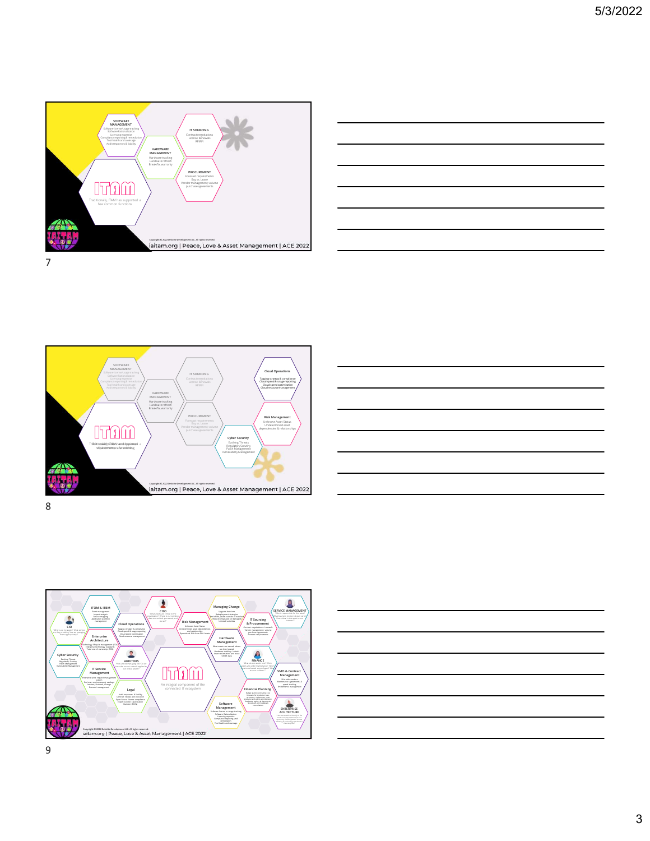









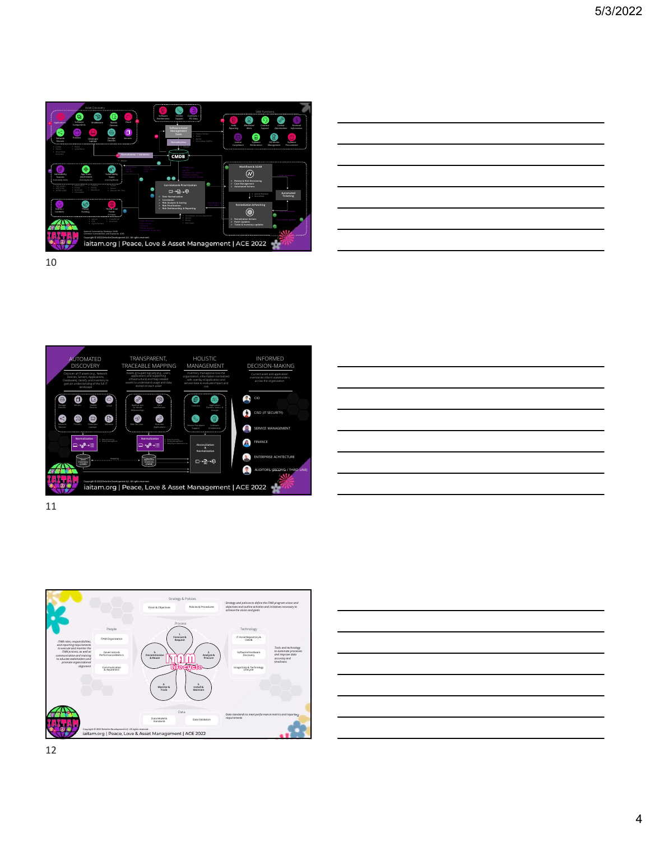

| Θ.<br>ಿ<br>2)<br>ၜူ                                                                                                     |  |
|-------------------------------------------------------------------------------------------------------------------------|--|
| Audit<br>parting<br>Anancipi<br><b>Mockhand</b><br>Alerts<br>Contract<br>Support<br>License<br>Optimization Information |  |
| $4\overline{1}$<br>0<br>ô<br>盲<br>SW Vendor<br>Saftware<br>Software<br>Dorme                                            |  |
| Arclamation<br>Management<br>Frecurement<br>Completer                                                                   |  |
|                                                                                                                         |  |
| Workflows & SOAR<br>∞<br>· Tidos Information                                                                            |  |
| - Review & Risk Decisioning<br>> Case Management<br>> Automated Actions                                                 |  |
| Automated<br>· Splunk Phantom<br>Ticketing<br>- SeniceNow                                                               |  |
| <b>Remediation &amp; Patching</b>                                                                                       |  |
| ◉<br><b>CONTRACTOR</b><br>92                                                                                            |  |
| - Remediation Actions<br>+ C & version updates<br>Rd.<br>Patch Updates<br>Ticket & Inventory updates<br>$\mathbf{g}_i$  |  |
|                                                                                                                         |  |
| <b>ACE 2022</b>                                                                                                         |  |





11